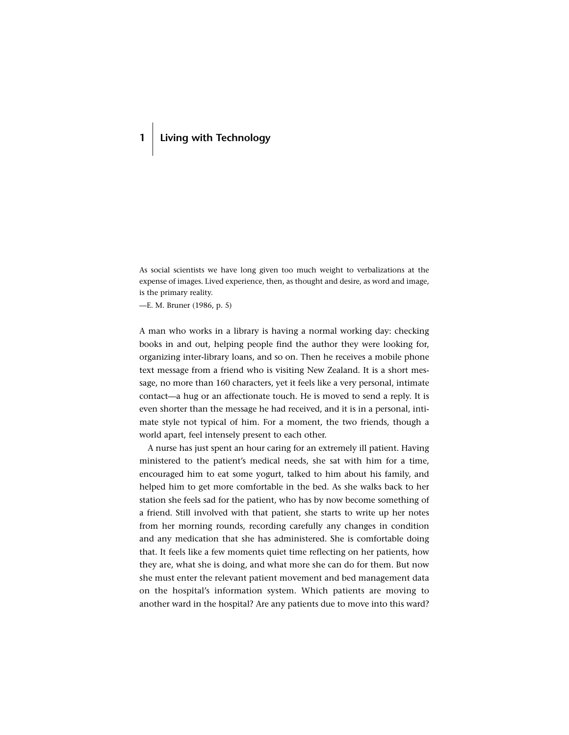# **1 Living with Technology**

As social scientists we have long given too much weight to verbalizations at the expense of images. Lived experience, then, as thought and desire, as word and image, is the primary reality.

—E. M. Bruner (1986, p. 5)

A man who works in a library is having a normal working day: checking books in and out, helping people find the author they were looking for, organizing inter-library loans, and so on. Then he receives a mobile phone text message from a friend who is visiting New Zealand. It is a short message, no more than 160 characters, yet it feels like a very personal, intimate contact—a hug or an affectionate touch. He is moved to send a reply. It is even shorter than the message he had received, and it is in a personal, intimate style not typical of him. For a moment, the two friends, though a world apart, feel intensely present to each other.

A nurse has just spent an hour caring for an extremely ill patient. Having ministered to the patient's medical needs, she sat with him for a time, encouraged him to eat some yogurt, talked to him about his family, and helped him to get more comfortable in the bed. As she walks back to her station she feels sad for the patient, who has by now become something of a friend. Still involved with that patient, she starts to write up her notes from her morning rounds, recording carefully any changes in condition and any medication that she has administered. She is comfortable doing that. It feels like a few moments quiet time reflecting on her patients, how they are, what she is doing, and what more she can do for them. But now [she must enter the relevant patient movement and bed management data](#page--1-0) on the hospital's information system. Which patients are moving to another ward in the hospital? Are any patients due to move into this ward?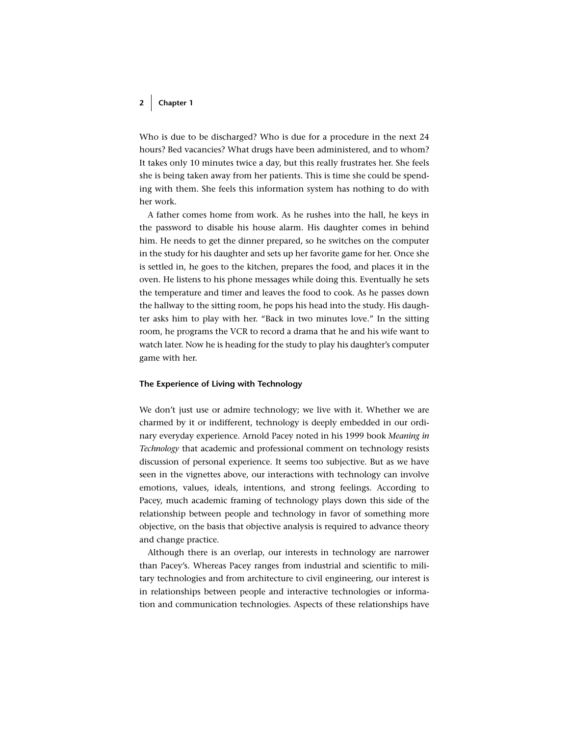Who is due to be discharged? Who is due for a procedure in the next 24 hours? Bed vacancies? What drugs have been administered, and to whom? It takes only 10 minutes twice a day, but this really frustrates her. She feels she is being taken away from her patients. This is time she could be spending with them. She feels this information system has nothing to do with her work.

A father comes home from work. As he rushes into the hall, he keys in the password to disable his house alarm. His daughter comes in behind him. He needs to get the dinner prepared, so he switches on the computer in the study for his daughter and sets up her favorite game for her. Once she is settled in, he goes to the kitchen, prepares the food, and places it in the oven. He listens to his phone messages while doing this. Eventually he sets the temperature and timer and leaves the food to cook. As he passes down the hallway to the sitting room, he pops his head into the study. His daughter asks him to play with her. "Back in two minutes love." In the sitting room, he programs the VCR to record a drama that he and his wife want to watch later. Now he is heading for the study to play his daughter's computer game with her.

#### **The Experience of Living with Technology**

We don't just use or admire technology; we live with it. Whether we are charmed by it or indifferent, technology is deeply embedded in our ordinary everyday experience. Arnold Pacey noted in his 1999 book *Meaning in Technology* that academic and professional comment on technology resists discussion of personal experience. It seems too subjective. But as we have seen in the vignettes above, our interactions with technology can involve emotions, values, ideals, intentions, and strong feelings. According to Pacey, much academic framing of technology plays down this side of the relationship between people and technology in favor of something more objective, on the basis that objective analysis is required to advance theory and change practice.

Although there is an overlap, our interests in technology are narrower than Pacey's. Whereas Pacey ranges from industrial and scientific to military technologies and from architecture to civil engineering, our interest is in relationships between people and interactive technologies or information and communication technologies. Aspects of these relationships have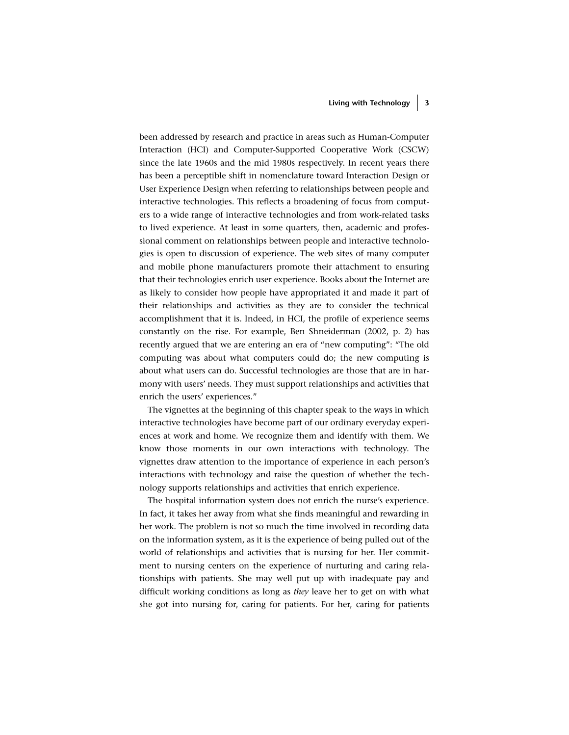been addressed by research and practice in areas such as Human-Computer Interaction (HCI) and Computer-Supported Cooperative Work (CSCW) since the late 1960s and the mid 1980s respectively. In recent years there has been a perceptible shift in nomenclature toward Interaction Design or User Experience Design when referring to relationships between people and interactive technologies. This reflects a broadening of focus from computers to a wide range of interactive technologies and from work-related tasks to lived experience. At least in some quarters, then, academic and professional comment on relationships between people and interactive technologies is open to discussion of experience. The web sites of many computer and mobile phone manufacturers promote their attachment to ensuring that their technologies enrich user experience. Books about the Internet are as likely to consider how people have appropriated it and made it part of their relationships and activities as they are to consider the technical accomplishment that it is. Indeed, in HCI, the profile of experience seems constantly on the rise. For example, Ben Shneiderman (2002, p. 2) has recently argued that we are entering an era of "new computing": "The old computing was about what computers could do; the new computing is about what users can do. Successful technologies are those that are in harmony with users' needs. They must support relationships and activities that enrich the users' experiences."

The vignettes at the beginning of this chapter speak to the ways in which interactive technologies have become part of our ordinary everyday experiences at work and home. We recognize them and identify with them. We know those moments in our own interactions with technology. The vignettes draw attention to the importance of experience in each person's interactions with technology and raise the question of whether the technology supports relationships and activities that enrich experience.

The hospital information system does not enrich the nurse's experience. In fact, it takes her away from what she finds meaningful and rewarding in her work. The problem is not so much the time involved in recording data on the information system, as it is the experience of being pulled out of the world of relationships and activities that is nursing for her. Her commitment to nursing centers on the experience of nurturing and caring relationships with patients. She may well put up with inadequate pay and difficult working conditions as long as *they* leave her to get on with what she got into nursing for, caring for patients. For her, caring for patients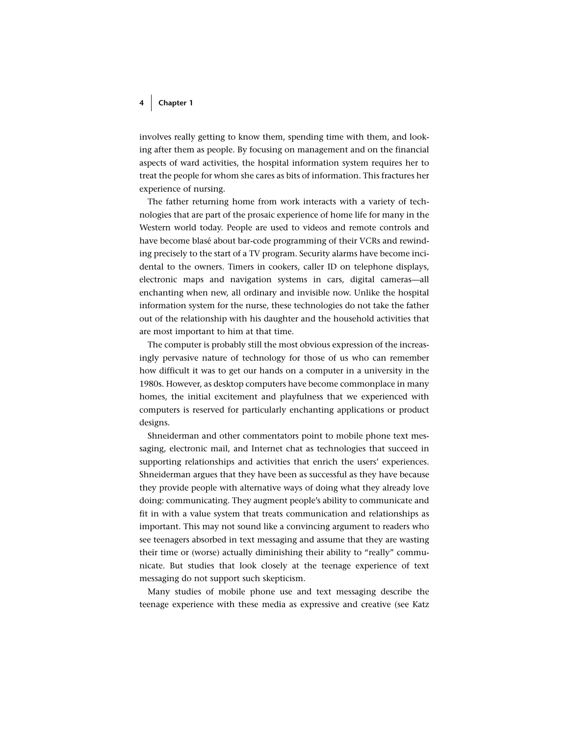involves really getting to know them, spending time with them, and looking after them as people. By focusing on management and on the financial aspects of ward activities, the hospital information system requires her to treat the people for whom she cares as bits of information. This fractures her experience of nursing.

The father returning home from work interacts with a variety of technologies that are part of the prosaic experience of home life for many in the Western world today. People are used to videos and remote controls and have become blasé about bar-code programming of their VCRs and rewinding precisely to the start of a TV program. Security alarms have become incidental to the owners. Timers in cookers, caller ID on telephone displays, electronic maps and navigation systems in cars, digital cameras—all enchanting when new, all ordinary and invisible now. Unlike the hospital information system for the nurse, these technologies do not take the father out of the relationship with his daughter and the household activities that are most important to him at that time.

The computer is probably still the most obvious expression of the increasingly pervasive nature of technology for those of us who can remember how difficult it was to get our hands on a computer in a university in the 1980s. However, as desktop computers have become commonplace in many homes, the initial excitement and playfulness that we experienced with computers is reserved for particularly enchanting applications or product designs.

Shneiderman and other commentators point to mobile phone text messaging, electronic mail, and Internet chat as technologies that succeed in supporting relationships and activities that enrich the users' experiences. Shneiderman argues that they have been as successful as they have because they provide people with alternative ways of doing what they already love doing: communicating. They augment people's ability to communicate and fit in with a value system that treats communication and relationships as important. This may not sound like a convincing argument to readers who see teenagers absorbed in text messaging and assume that they are wasting their time or (worse) actually diminishing their ability to "really" communicate. But studies that look closely at the teenage experience of text messaging do not support such skepticism.

Many studies of mobile phone use and text messaging describe the teenage experience with these media as expressive and creative (see Katz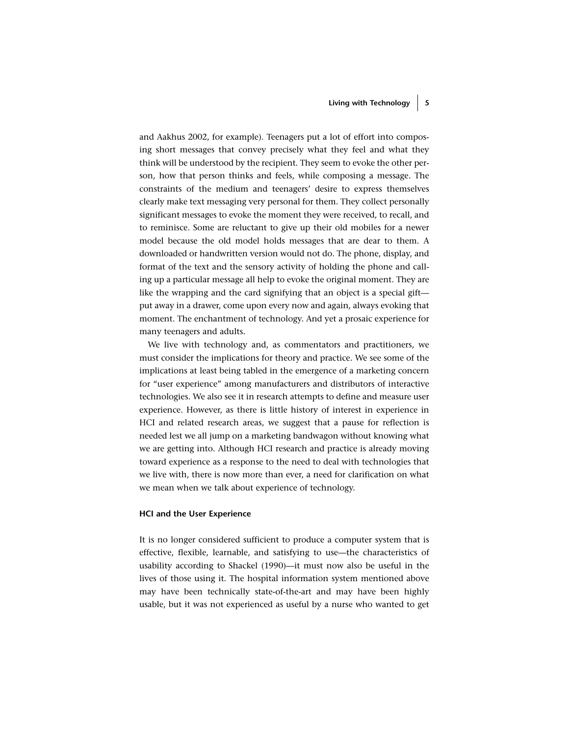and Aakhus 2002, for example). Teenagers put a lot of effort into composing short messages that convey precisely what they feel and what they think will be understood by the recipient. They seem to evoke the other person, how that person thinks and feels, while composing a message. The constraints of the medium and teenagers' desire to express themselves clearly make text messaging very personal for them. They collect personally significant messages to evoke the moment they were received, to recall, and to reminisce. Some are reluctant to give up their old mobiles for a newer model because the old model holds messages that are dear to them. A downloaded or handwritten version would not do. The phone, display, and format of the text and the sensory activity of holding the phone and calling up a particular message all help to evoke the original moment. They are like the wrapping and the card signifying that an object is a special gift put away in a drawer, come upon every now and again, always evoking that moment. The enchantment of technology. And yet a prosaic experience for many teenagers and adults.

We live with technology and, as commentators and practitioners, we must consider the implications for theory and practice. We see some of the implications at least being tabled in the emergence of a marketing concern for "user experience" among manufacturers and distributors of interactive technologies. We also see it in research attempts to define and measure user experience. However, as there is little history of interest in experience in HCI and related research areas, we suggest that a pause for reflection is needed lest we all jump on a marketing bandwagon without knowing what we are getting into. Although HCI research and practice is already moving toward experience as a response to the need to deal with technologies that we live with, there is now more than ever, a need for clarification on what we mean when we talk about experience of technology.

#### **HCI and the User Experience**

It is no longer considered sufficient to produce a computer system that is effective, flexible, learnable, and satisfying to use—the characteristics of usability according to Shackel (1990)—it must now also be useful in the lives of those using it. The hospital information system mentioned above may have been technically state-of-the-art and may have been highly usable, but it was not experienced as useful by a nurse who wanted to get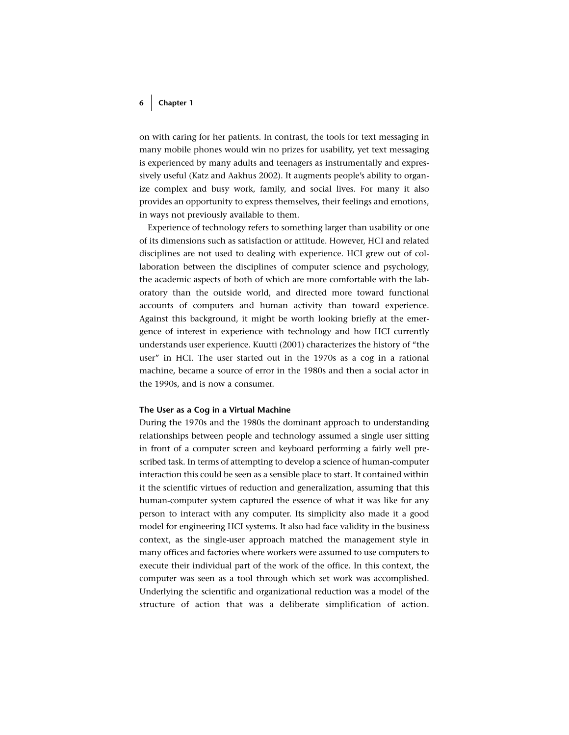on with caring for her patients. In contrast, the tools for text messaging in many mobile phones would win no prizes for usability, yet text messaging is experienced by many adults and teenagers as instrumentally and expressively useful (Katz and Aakhus 2002). It augments people's ability to organize complex and busy work, family, and social lives. For many it also provides an opportunity to express themselves, their feelings and emotions, in ways not previously available to them.

Experience of technology refers to something larger than usability or one of its dimensions such as satisfaction or attitude. However, HCI and related disciplines are not used to dealing with experience. HCI grew out of collaboration between the disciplines of computer science and psychology, the academic aspects of both of which are more comfortable with the laboratory than the outside world, and directed more toward functional accounts of computers and human activity than toward experience. Against this background, it might be worth looking briefly at the emergence of interest in experience with technology and how HCI currently understands user experience. Kuutti (2001) characterizes the history of "the user" in HCI. The user started out in the 1970s as a cog in a rational machine, became a source of error in the 1980s and then a social actor in the 1990s, and is now a consumer.

#### **The User as a Cog in a Virtual Machine**

During the 1970s and the 1980s the dominant approach to understanding relationships between people and technology assumed a single user sitting in front of a computer screen and keyboard performing a fairly well prescribed task. In terms of attempting to develop a science of human-computer interaction this could be seen as a sensible place to start. It contained within it the scientific virtues of reduction and generalization, assuming that this human-computer system captured the essence of what it was like for any person to interact with any computer. Its simplicity also made it a good model for engineering HCI systems. It also had face validity in the business context, as the single-user approach matched the management style in many offices and factories where workers were assumed to use computers to execute their individual part of the work of the office. In this context, the computer was seen as a tool through which set work was accomplished. Underlying the scientific and organizational reduction was a model of the structure of action that was a deliberate simplification of action.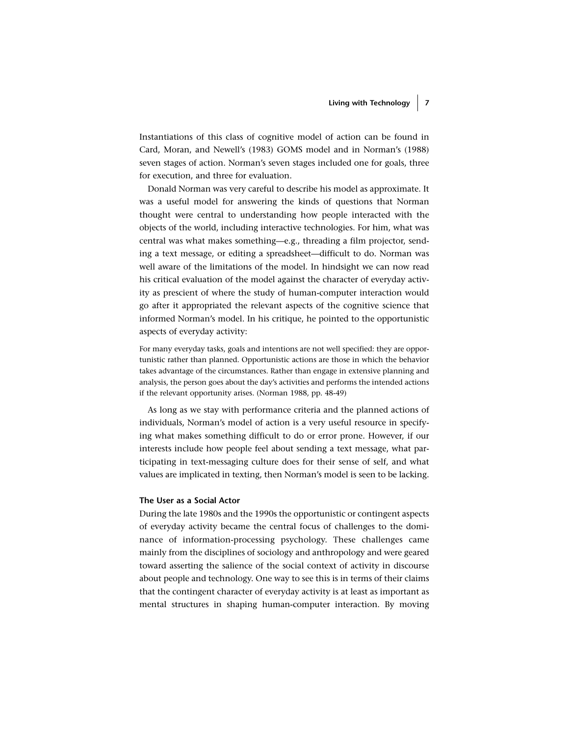Instantiations of this class of cognitive model of action can be found in Card, Moran, and Newell's (1983) GOMS model and in Norman's (1988) seven stages of action. Norman's seven stages included one for goals, three for execution, and three for evaluation.

Donald Norman was very careful to describe his model as approximate. It was a useful model for answering the kinds of questions that Norman thought were central to understanding how people interacted with the objects of the world, including interactive technologies. For him, what was central was what makes something—e.g., threading a film projector, sending a text message, or editing a spreadsheet—difficult to do. Norman was well aware of the limitations of the model. In hindsight we can now read his critical evaluation of the model against the character of everyday activity as prescient of where the study of human-computer interaction would go after it appropriated the relevant aspects of the cognitive science that informed Norman's model. In his critique, he pointed to the opportunistic aspects of everyday activity:

For many everyday tasks, goals and intentions are not well specified: they are opportunistic rather than planned. Opportunistic actions are those in which the behavior takes advantage of the circumstances. Rather than engage in extensive planning and analysis, the person goes about the day's activities and performs the intended actions if the relevant opportunity arises. (Norman 1988, pp. 48-49)

As long as we stay with performance criteria and the planned actions of individuals, Norman's model of action is a very useful resource in specifying what makes something difficult to do or error prone. However, if our interests include how people feel about sending a text message, what participating in text-messaging culture does for their sense of self, and what values are implicated in texting, then Norman's model is seen to be lacking.

#### **The User as a Social Actor**

During the late 1980s and the 1990s the opportunistic or contingent aspects of everyday activity became the central focus of challenges to the dominance of information-processing psychology. These challenges came mainly from the disciplines of sociology and anthropology and were geared toward asserting the salience of the social context of activity in discourse about people and technology. One way to see this is in terms of their claims that the contingent character of everyday activity is at least as important as mental structures in shaping human-computer interaction. By moving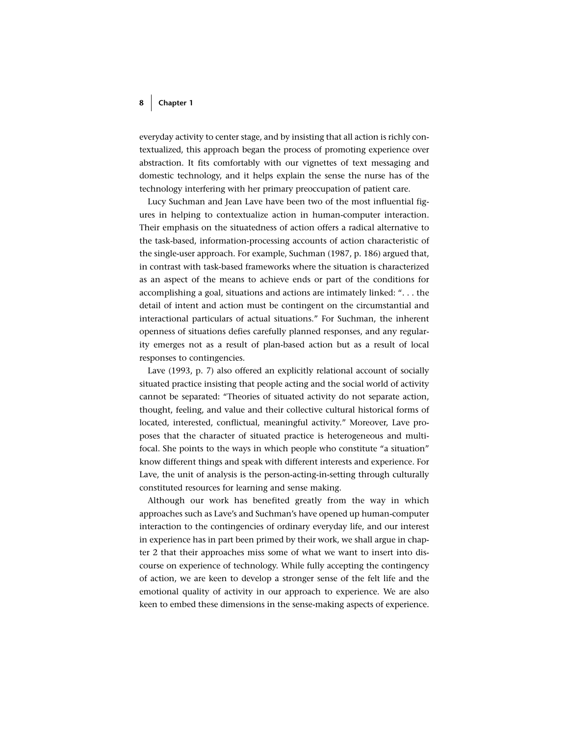everyday activity to center stage, and by insisting that all action is richly contextualized, this approach began the process of promoting experience over abstraction. It fits comfortably with our vignettes of text messaging and domestic technology, and it helps explain the sense the nurse has of the technology interfering with her primary preoccupation of patient care.

Lucy Suchman and Jean Lave have been two of the most influential figures in helping to contextualize action in human-computer interaction. Their emphasis on the situatedness of action offers a radical alternative to the task-based, information-processing accounts of action characteristic of the single-user approach. For example, Suchman (1987, p. 186) argued that, in contrast with task-based frameworks where the situation is characterized as an aspect of the means to achieve ends or part of the conditions for accomplishing a goal, situations and actions are intimately linked: ". . . the detail of intent and action must be contingent on the circumstantial and interactional particulars of actual situations." For Suchman, the inherent openness of situations defies carefully planned responses, and any regularity emerges not as a result of plan-based action but as a result of local responses to contingencies.

Lave (1993, p. 7) also offered an explicitly relational account of socially situated practice insisting that people acting and the social world of activity cannot be separated: "Theories of situated activity do not separate action, thought, feeling, and value and their collective cultural historical forms of located, interested, conflictual, meaningful activity." Moreover, Lave proposes that the character of situated practice is heterogeneous and multifocal. She points to the ways in which people who constitute "a situation" know different things and speak with different interests and experience. For Lave, the unit of analysis is the person-acting-in-setting through culturally constituted resources for learning and sense making.

Although our work has benefited greatly from the way in which approaches such as Lave's and Suchman's have opened up human-computer interaction to the contingencies of ordinary everyday life, and our interest in experience has in part been primed by their work, we shall argue in chapter 2 that their approaches miss some of what we want to insert into discourse on experience of technology. While fully accepting the contingency of action, we are keen to develop a stronger sense of the felt life and the emotional quality of activity in our approach to experience. We are also keen to embed these dimensions in the sense-making aspects of experience.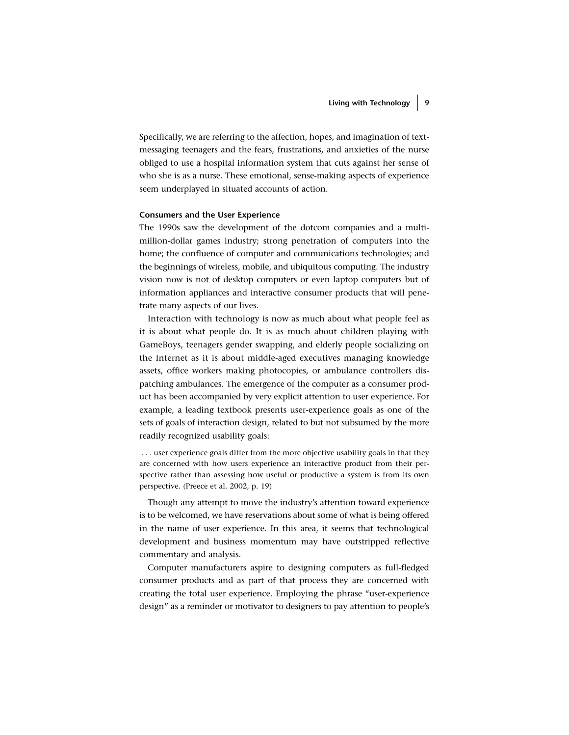Specifically, we are referring to the affection, hopes, and imagination of textmessaging teenagers and the fears, frustrations, and anxieties of the nurse obliged to use a hospital information system that cuts against her sense of who she is as a nurse. These emotional, sense-making aspects of experience seem underplayed in situated accounts of action.

#### **Consumers and the User Experience**

The 1990s saw the development of the dotcom companies and a multimillion-dollar games industry; strong penetration of computers into the home; the confluence of computer and communications technologies; and the beginnings of wireless, mobile, and ubiquitous computing. The industry vision now is not of desktop computers or even laptop computers but of information appliances and interactive consumer products that will penetrate many aspects of our lives.

Interaction with technology is now as much about what people feel as it is about what people do. It is as much about children playing with GameBoys, teenagers gender swapping, and elderly people socializing on the Internet as it is about middle-aged executives managing knowledge assets, office workers making photocopies, or ambulance controllers dispatching ambulances. The emergence of the computer as a consumer product has been accompanied by very explicit attention to user experience. For example, a leading textbook presents user-experience goals as one of the sets of goals of interaction design, related to but not subsumed by the more readily recognized usability goals:

. . . user experience goals differ from the more objective usability goals in that they are concerned with how users experience an interactive product from their perspective rather than assessing how useful or productive a system is from its own perspective. (Preece et al. 2002, p. 19)

Though any attempt to move the industry's attention toward experience is to be welcomed, we have reservations about some of what is being offered in the name of user experience. In this area, it seems that technological development and business momentum may have outstripped reflective commentary and analysis.

Computer manufacturers aspire to designing computers as full-fledged consumer products and as part of that process they are concerned with creating the total user experience. Employing the phrase "user-experience design" as a reminder or motivator to designers to pay attention to people's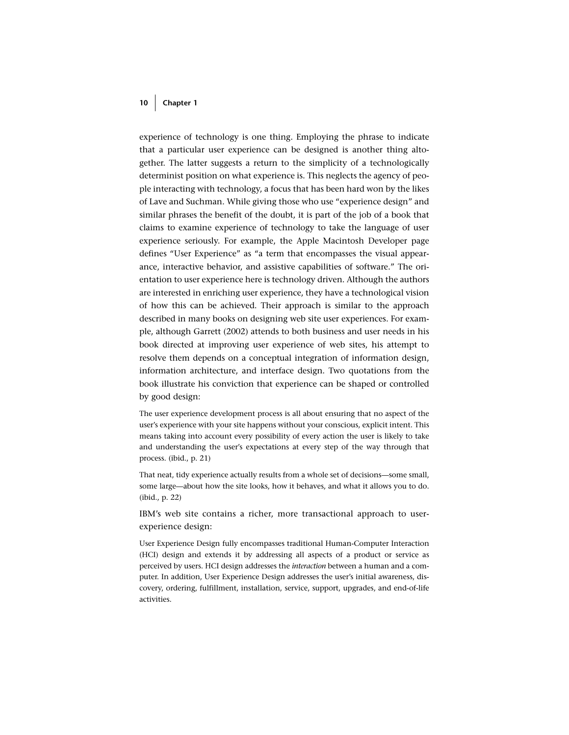experience of technology is one thing. Employing the phrase to indicate that a particular user experience can be designed is another thing altogether. The latter suggests a return to the simplicity of a technologically determinist position on what experience is. This neglects the agency of people interacting with technology, a focus that has been hard won by the likes of Lave and Suchman. While giving those who use "experience design" and similar phrases the benefit of the doubt, it is part of the job of a book that claims to examine experience of technology to take the language of user experience seriously. For example, the Apple Macintosh Developer page defines "User Experience" as "a term that encompasses the visual appearance, interactive behavior, and assistive capabilities of software." The orientation to user experience here is technology driven. Although the authors are interested in enriching user experience, they have a technological vision of how this can be achieved. Their approach is similar to the approach described in many books on designing web site user experiences. For example, although Garrett (2002) attends to both business and user needs in his book directed at improving user experience of web sites, his attempt to resolve them depends on a conceptual integration of information design, information architecture, and interface design. Two quotations from the book illustrate his conviction that experience can be shaped or controlled by good design:

The user experience development process is all about ensuring that no aspect of the user's experience with your site happens without your conscious, explicit intent. This means taking into account every possibility of every action the user is likely to take and understanding the user's expectations at every step of the way through that process. (ibid., p. 21)

That neat, tidy experience actually results from a whole set of decisions—some small, some large—about how the site looks, how it behaves, and what it allows you to do. (ibid., p. 22)

IBM's web site contains a richer, more transactional approach to userexperience design:

User Experience Design fully encompasses traditional Human-Computer Interaction (HCI) design and extends it by addressing all aspects of a product or service as perceived by users. HCI design addresses the *interaction* between a human and a computer. In addition, User Experience Design addresses the user's initial awareness, discovery, ordering, fulfillment, installation, service, support, upgrades, and end-of-life activities.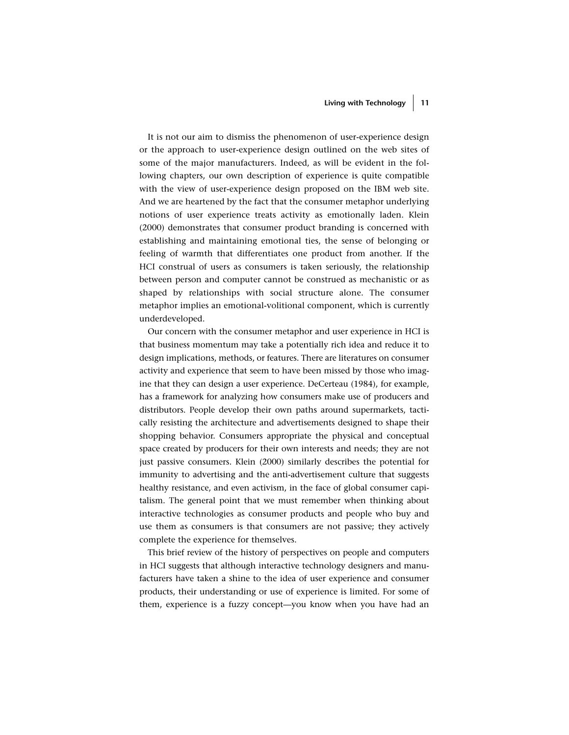It is not our aim to dismiss the phenomenon of user-experience design or the approach to user-experience design outlined on the web sites of some of the major manufacturers. Indeed, as will be evident in the following chapters, our own description of experience is quite compatible with the view of user-experience design proposed on the IBM web site. And we are heartened by the fact that the consumer metaphor underlying notions of user experience treats activity as emotionally laden. Klein (2000) demonstrates that consumer product branding is concerned with establishing and maintaining emotional ties, the sense of belonging or feeling of warmth that differentiates one product from another. If the HCI construal of users as consumers is taken seriously, the relationship between person and computer cannot be construed as mechanistic or as shaped by relationships with social structure alone. The consumer metaphor implies an emotional-volitional component, which is currently underdeveloped.

Our concern with the consumer metaphor and user experience in HCI is that business momentum may take a potentially rich idea and reduce it to design implications, methods, or features. There are literatures on consumer activity and experience that seem to have been missed by those who imagine that they can design a user experience. DeCerteau (1984), for example, has a framework for analyzing how consumers make use of producers and distributors. People develop their own paths around supermarkets, tactically resisting the architecture and advertisements designed to shape their shopping behavior. Consumers appropriate the physical and conceptual space created by producers for their own interests and needs; they are not just passive consumers. Klein (2000) similarly describes the potential for immunity to advertising and the anti-advertisement culture that suggests healthy resistance, and even activism, in the face of global consumer capitalism. The general point that we must remember when thinking about interactive technologies as consumer products and people who buy and use them as consumers is that consumers are not passive; they actively complete the experience for themselves.

This brief review of the history of perspectives on people and computers in HCI suggests that although interactive technology designers and manufacturers have taken a shine to the idea of user experience and consumer products, their understanding or use of experience is limited. For some of them, experience is a fuzzy concept—you know when you have had an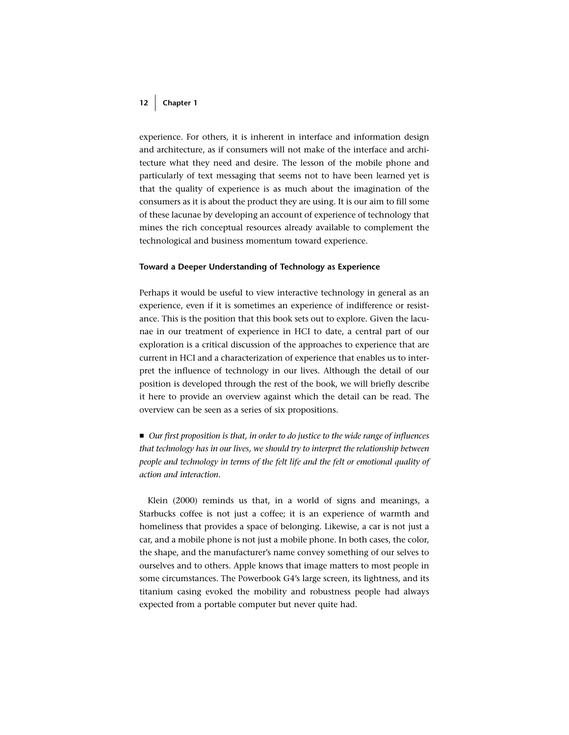experience. For others, it is inherent in interface and information design and architecture, as if consumers will not make of the interface and architecture what they need and desire. The lesson of the mobile phone and particularly of text messaging that seems not to have been learned yet is that the quality of experience is as much about the imagination of the consumers as it is about the product they are using. It is our aim to fill some of these lacunae by developing an account of experience of technology that mines the rich conceptual resources already available to complement the technological and business momentum toward experience.

#### **Toward a Deeper Understanding of Technology as Experience**

Perhaps it would be useful to view interactive technology in general as an experience, even if it is sometimes an experience of indifference or resistance. This is the position that this book sets out to explore. Given the lacunae in our treatment of experience in HCI to date, a central part of our exploration is a critical discussion of the approaches to experience that are current in HCI and a characterization of experience that enables us to interpret the influence of technology in our lives. Although the detail of our position is developed through the rest of the book, we will briefly describe it here to provide an overview against which the detail can be read. The overview can be seen as a series of six propositions.

■ Our first proposition is that, in order to do justice to the wide range of influences *that technology has in our lives, we should try to interpret the relationship between people and technology in terms of the felt life and the felt or emotional quality of action and interaction.*

Klein (2000) reminds us that, in a world of signs and meanings, a Starbucks coffee is not just a coffee; it is an experience of warmth and homeliness that provides a space of belonging. Likewise, a car is not just a car, and a mobile phone is not just a mobile phone. In both cases, the color, the shape, and the manufacturer's name convey something of our selves to ourselves and to others. Apple knows that image matters to most people in some circumstances. The Powerbook G4's large screen, its lightness, and its titanium casing evoked the mobility and robustness people had always expected from a portable computer but never quite had.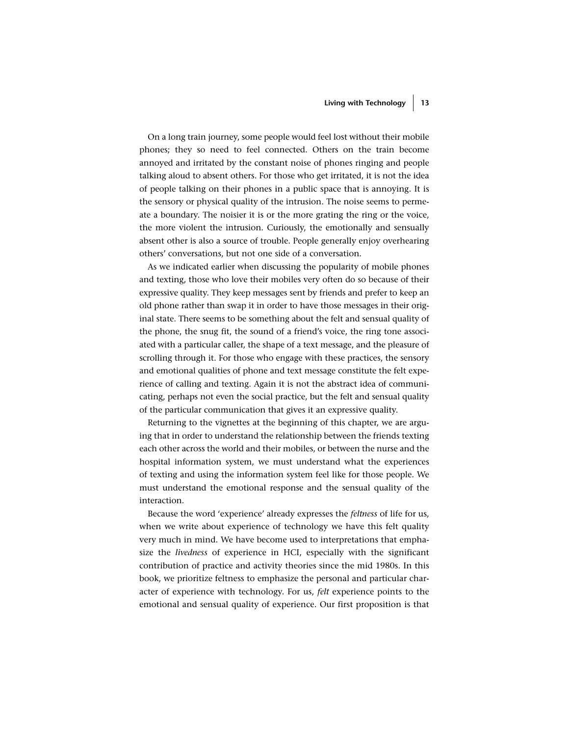On a long train journey, some people would feel lost without their mobile phones; they so need to feel connected. Others on the train become annoyed and irritated by the constant noise of phones ringing and people talking aloud to absent others. For those who get irritated, it is not the idea of people talking on their phones in a public space that is annoying. It is the sensory or physical quality of the intrusion. The noise seems to permeate a boundary. The noisier it is or the more grating the ring or the voice, the more violent the intrusion. Curiously, the emotionally and sensually absent other is also a source of trouble. People generally enjoy overhearing others' conversations, but not one side of a conversation.

As we indicated earlier when discussing the popularity of mobile phones and texting, those who love their mobiles very often do so because of their expressive quality. They keep messages sent by friends and prefer to keep an old phone rather than swap it in order to have those messages in their original state. There seems to be something about the felt and sensual quality of the phone, the snug fit, the sound of a friend's voice, the ring tone associated with a particular caller, the shape of a text message, and the pleasure of scrolling through it. For those who engage with these practices, the sensory and emotional qualities of phone and text message constitute the felt experience of calling and texting. Again it is not the abstract idea of communicating, perhaps not even the social practice, but the felt and sensual quality of the particular communication that gives it an expressive quality.

Returning to the vignettes at the beginning of this chapter, we are arguing that in order to understand the relationship between the friends texting each other across the world and their mobiles, or between the nurse and the hospital information system, we must understand what the experiences of texting and using the information system feel like for those people. We must understand the emotional response and the sensual quality of the interaction.

Because the word 'experience' already expresses the *feltness* of life for us, when we write about experience of technology we have this felt quality very much in mind. We have become used to interpretations that emphasize the *livedness* of experience in HCI, especially with the significant contribution of practice and activity theories since the mid 1980s. In this book, we prioritize feltness to emphasize the personal and particular character of experience with technology. For us, *felt* experience points to the emotional and sensual quality of experience. Our first proposition is that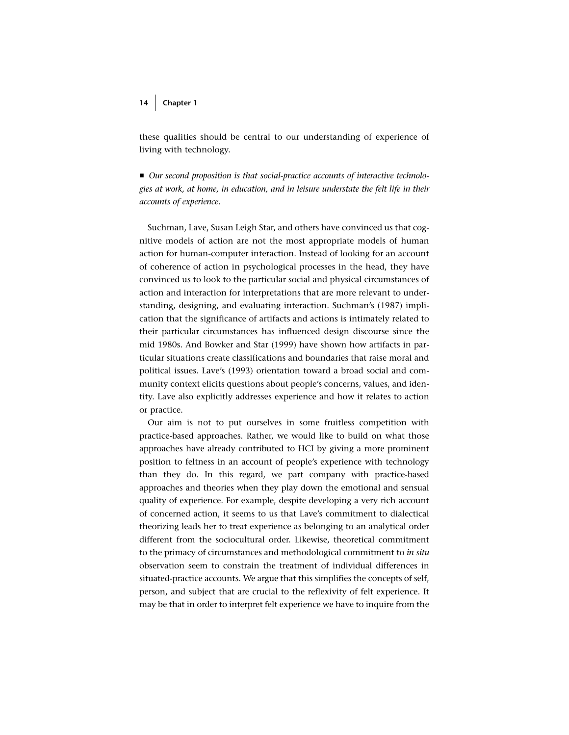these qualities should be central to our understanding of experience of living with technology.

■ Our second proposition is that social-practice accounts of interactive technolo*gies at work, at home, in education, and in leisure understate the felt life in their accounts of experience.*

Suchman, Lave, Susan Leigh Star, and others have convinced us that cognitive models of action are not the most appropriate models of human action for human-computer interaction. Instead of looking for an account of coherence of action in psychological processes in the head, they have convinced us to look to the particular social and physical circumstances of action and interaction for interpretations that are more relevant to understanding, designing, and evaluating interaction. Suchman's (1987) implication that the significance of artifacts and actions is intimately related to their particular circumstances has influenced design discourse since the mid 1980s. And Bowker and Star (1999) have shown how artifacts in particular situations create classifications and boundaries that raise moral and political issues. Lave's (1993) orientation toward a broad social and community context elicits questions about people's concerns, values, and identity. Lave also explicitly addresses experience and how it relates to action or practice.

Our aim is not to put ourselves in some fruitless competition with practice-based approaches. Rather, we would like to build on what those approaches have already contributed to HCI by giving a more prominent position to feltness in an account of people's experience with technology than they do. In this regard, we part company with practice-based approaches and theories when they play down the emotional and sensual quality of experience. For example, despite developing a very rich account of concerned action, it seems to us that Lave's commitment to dialectical theorizing leads her to treat experience as belonging to an analytical order different from the sociocultural order. Likewise, theoretical commitment to the primacy of circumstances and methodological commitment to *in situ* observation seem to constrain the treatment of individual differences in situated-practice accounts. We argue that this simplifies the concepts of self, person, and subject that are crucial to the reflexivity of felt experience. It may be that in order to interpret felt experience we have to inquire from the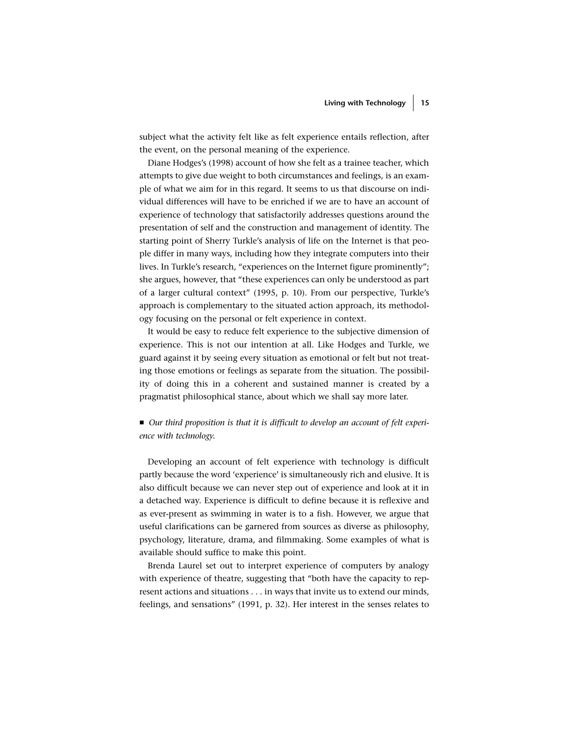subject what the activity felt like as felt experience entails reflection, after the event, on the personal meaning of the experience.

Diane Hodges's (1998) account of how she felt as a trainee teacher, which attempts to give due weight to both circumstances and feelings, is an example of what we aim for in this regard. It seems to us that discourse on individual differences will have to be enriched if we are to have an account of experience of technology that satisfactorily addresses questions around the presentation of self and the construction and management of identity. The starting point of Sherry Turkle's analysis of life on the Internet is that people differ in many ways, including how they integrate computers into their lives. In Turkle's research, "experiences on the Internet figure prominently"; she argues, however, that "these experiences can only be understood as part of a larger cultural context" (1995, p. 10). From our perspective, Turkle's approach is complementary to the situated action approach, its methodology focusing on the personal or felt experience in context.

It would be easy to reduce felt experience to the subjective dimension of experience. This is not our intention at all. Like Hodges and Turkle, we guard against it by seeing every situation as emotional or felt but not treating those emotions or feelings as separate from the situation. The possibility of doing this in a coherent and sustained manner is created by a pragmatist philosophical stance, about which we shall say more later.

## ■ Our third proposition is that it is difficult to develop an account of felt experi*ence with technology.*

Developing an account of felt experience with technology is difficult partly because the word 'experience' is simultaneously rich and elusive. It is also difficult because we can never step out of experience and look at it in a detached way. Experience is difficult to define because it is reflexive and as ever-present as swimming in water is to a fish. However, we argue that useful clarifications can be garnered from sources as diverse as philosophy, psychology, literature, drama, and filmmaking. Some examples of what is available should suffice to make this point.

Brenda Laurel set out to interpret experience of computers by analogy with experience of theatre, suggesting that "both have the capacity to represent actions and situations . . . in ways that invite us to extend our minds, feelings, and sensations" (1991, p. 32). Her interest in the senses relates to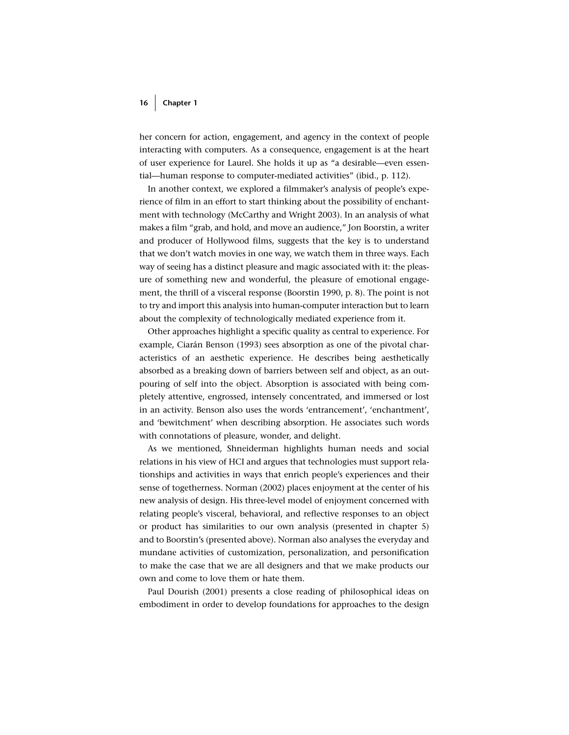her concern for action, engagement, and agency in the context of people interacting with computers. As a consequence, engagement is at the heart of user experience for Laurel. She holds it up as "a desirable—even essential—human response to computer-mediated activities" (ibid., p. 112).

In another context, we explored a filmmaker's analysis of people's experience of film in an effort to start thinking about the possibility of enchantment with technology (McCarthy and Wright 2003). In an analysis of what makes a film "grab, and hold, and move an audience," Jon Boorstin, a writer and producer of Hollywood films, suggests that the key is to understand that we don't watch movies in one way, we watch them in three ways. Each way of seeing has a distinct pleasure and magic associated with it: the pleasure of something new and wonderful, the pleasure of emotional engagement, the thrill of a visceral response (Boorstin 1990, p. 8). The point is not to try and import this analysis into human-computer interaction but to learn about the complexity of technologically mediated experience from it.

Other approaches highlight a specific quality as central to experience. For example, Ciarán Benson (1993) sees absorption as one of the pivotal characteristics of an aesthetic experience. He describes being aesthetically absorbed as a breaking down of barriers between self and object, as an outpouring of self into the object. Absorption is associated with being completely attentive, engrossed, intensely concentrated, and immersed or lost in an activity. Benson also uses the words 'entrancement', 'enchantment', and 'bewitchment' when describing absorption. He associates such words with connotations of pleasure, wonder, and delight.

As we mentioned, Shneiderman highlights human needs and social relations in his view of HCI and argues that technologies must support relationships and activities in ways that enrich people's experiences and their sense of togetherness. Norman (2002) places enjoyment at the center of his new analysis of design. His three-level model of enjoyment concerned with relating people's visceral, behavioral, and reflective responses to an object or product has similarities to our own analysis (presented in chapter 5) and to Boorstin's (presented above). Norman also analyses the everyday and mundane activities of customization, personalization, and personification to make the case that we are all designers and that we make products our own and come to love them or hate them.

Paul Dourish (2001) presents a close reading of philosophical ideas on embodiment in order to develop foundations for approaches to the design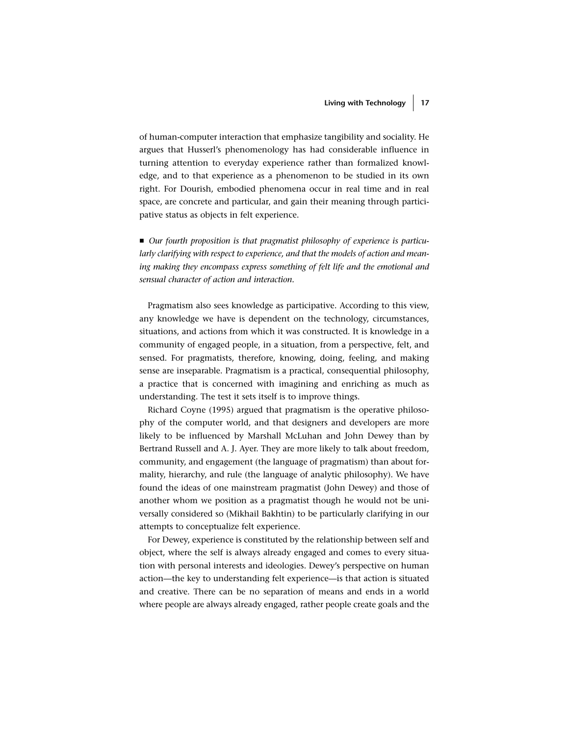of human-computer interaction that emphasize tangibility and sociality. He argues that Husserl's phenomenology has had considerable influence in turning attention to everyday experience rather than formalized knowledge, and to that experience as a phenomenon to be studied in its own right. For Dourish, embodied phenomena occur in real time and in real space, are concrete and particular, and gain their meaning through participative status as objects in felt experience.

■ Our fourth proposition is that pragmatist philosophy of experience is particu*larly clarifying with respect to experience, and that the models of action and meaning making they encompass express something of felt life and the emotional and sensual character of action and interaction.*

Pragmatism also sees knowledge as participative. According to this view, any knowledge we have is dependent on the technology, circumstances, situations, and actions from which it was constructed. It is knowledge in a community of engaged people, in a situation, from a perspective, felt, and sensed. For pragmatists, therefore, knowing, doing, feeling, and making sense are inseparable. Pragmatism is a practical, consequential philosophy, a practice that is concerned with imagining and enriching as much as understanding. The test it sets itself is to improve things.

Richard Coyne (1995) argued that pragmatism is the operative philosophy of the computer world, and that designers and developers are more likely to be influenced by Marshall McLuhan and John Dewey than by Bertrand Russell and A. J. Ayer. They are more likely to talk about freedom, community, and engagement (the language of pragmatism) than about formality, hierarchy, and rule (the language of analytic philosophy). We have found the ideas of one mainstream pragmatist (John Dewey) and those of another whom we position as a pragmatist though he would not be universally considered so (Mikhail Bakhtin) to be particularly clarifying in our attempts to conceptualize felt experience.

For Dewey, experience is constituted by the relationship between self and object, where the self is always already engaged and comes to every situation with personal interests and ideologies. Dewey's perspective on human action—the key to understanding felt experience—is that action is situated and creative. There can be no separation of means and ends in a world where people are always already engaged, rather people create goals and the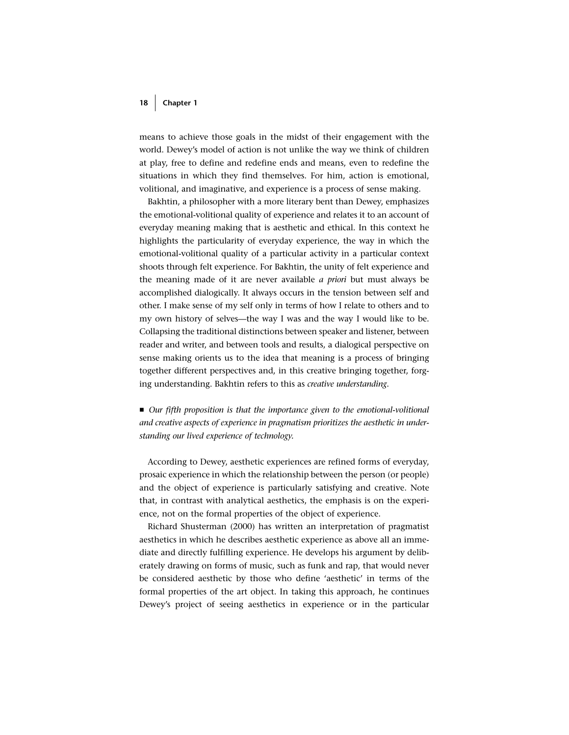means to achieve those goals in the midst of their engagement with the world. Dewey's model of action is not unlike the way we think of children at play, free to define and redefine ends and means, even to redefine the situations in which they find themselves. For him, action is emotional, volitional, and imaginative, and experience is a process of sense making.

Bakhtin, a philosopher with a more literary bent than Dewey, emphasizes the emotional-volitional quality of experience and relates it to an account of everyday meaning making that is aesthetic and ethical. In this context he highlights the particularity of everyday experience, the way in which the emotional-volitional quality of a particular activity in a particular context shoots through felt experience. For Bakhtin, the unity of felt experience and the meaning made of it are never available *a priori* but must always be accomplished dialogically. It always occurs in the tension between self and other. I make sense of my self only in terms of how I relate to others and to my own history of selves—the way I was and the way I would like to be. Collapsing the traditional distinctions between speaker and listener, between reader and writer, and between tools and results, a dialogical perspective on sense making orients us to the idea that meaning is a process of bringing together different perspectives and, in this creative bringing together, forging understanding. Bakhtin refers to this as *creative understanding*.

■ Our fifth proposition is that the importance given to the emotional-volitional *and creative aspects of experience in pragmatism prioritizes the aesthetic in understanding our lived experience of technology.*

According to Dewey, aesthetic experiences are refined forms of everyday, prosaic experience in which the relationship between the person (or people) and the object of experience is particularly satisfying and creative. Note that, in contrast with analytical aesthetics, the emphasis is on the experience, not on the formal properties of the object of experience.

Richard Shusterman (2000) has written an interpretation of pragmatist aesthetics in which he describes aesthetic experience as above all an immediate and directly fulfilling experience. He develops his argument by deliberately drawing on forms of music, such as funk and rap, that would never be considered aesthetic by those who define 'aesthetic' in terms of the formal properties of the art object. In taking this approach, he continues Dewey's project of seeing aesthetics in experience or in the particular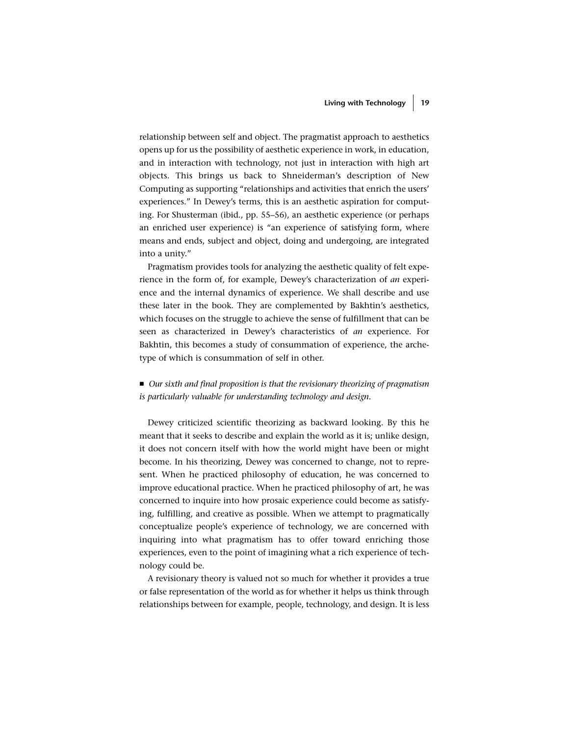relationship between self and object. The pragmatist approach to aesthetics opens up for us the possibility of aesthetic experience in work, in education, and in interaction with technology, not just in interaction with high art objects. This brings us back to Shneiderman's description of New Computing as supporting "relationships and activities that enrich the users' experiences." In Dewey's terms, this is an aesthetic aspiration for computing. For Shusterman (ibid., pp. 55–56), an aesthetic experience (or perhaps an enriched user experience) is "an experience of satisfying form, where means and ends, subject and object, doing and undergoing, are integrated into a unity."

Pragmatism provides tools for analyzing the aesthetic quality of felt experience in the form of, for example, Dewey's characterization of *an* experience and the internal dynamics of experience. We shall describe and use these later in the book. They are complemented by Bakhtin's aesthetics, which focuses on the struggle to achieve the sense of fulfillment that can be seen as characterized in Dewey's characteristics of *an* experience. For Bakhtin, this becomes a study of consummation of experience, the archetype of which is consummation of self in other.

## - *Our sixth and final proposition is that the revisionary theorizing of pragmatism is particularly valuable for understanding technology and design.*

Dewey criticized scientific theorizing as backward looking. By this he meant that it seeks to describe and explain the world as it is; unlike design, it does not concern itself with how the world might have been or might become. In his theorizing, Dewey was concerned to change, not to represent. When he practiced philosophy of education, he was concerned to improve educational practice. When he practiced philosophy of art, he was concerned to inquire into how prosaic experience could become as satisfying, fulfilling, and creative as possible. When we attempt to pragmatically conceptualize people's experience of technology, we are concerned with inquiring into what pragmatism has to offer toward enriching those experiences, even to the point of imagining what a rich experience of technology could be.

A revisionary theory is valued not so much for whether it provides a true or false representation of the world as for whether it helps us think through relationships between for example, people, technology, and design. It is less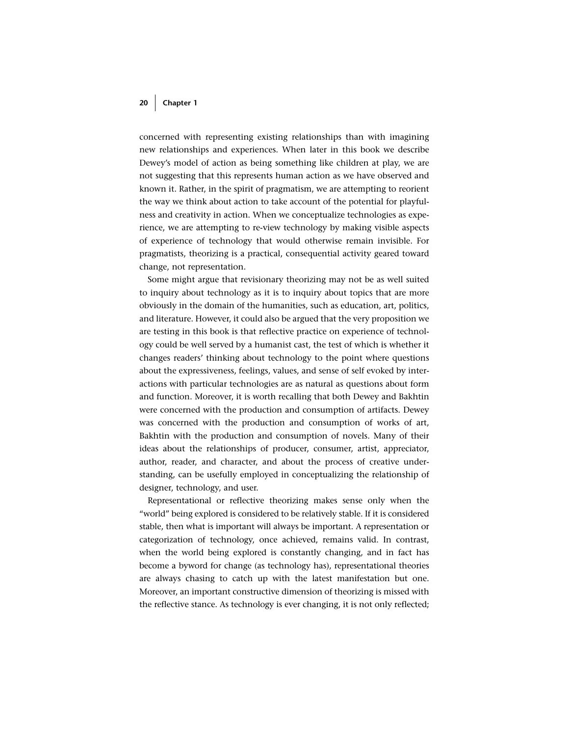concerned with representing existing relationships than with imagining new relationships and experiences. When later in this book we describe Dewey's model of action as being something like children at play, we are not suggesting that this represents human action as we have observed and known it. Rather, in the spirit of pragmatism, we are attempting to reorient the way we think about action to take account of the potential for playfulness and creativity in action. When we conceptualize technologies as experience, we are attempting to re-view technology by making visible aspects of experience of technology that would otherwise remain invisible. For pragmatists, theorizing is a practical, consequential activity geared toward change, not representation.

Some might argue that revisionary theorizing may not be as well suited to inquiry about technology as it is to inquiry about topics that are more obviously in the domain of the humanities, such as education, art, politics, and literature. However, it could also be argued that the very proposition we are testing in this book is that reflective practice on experience of technology could be well served by a humanist cast, the test of which is whether it changes readers' thinking about technology to the point where questions about the expressiveness, feelings, values, and sense of self evoked by interactions with particular technologies are as natural as questions about form and function. Moreover, it is worth recalling that both Dewey and Bakhtin were concerned with the production and consumption of artifacts. Dewey was concerned with the production and consumption of works of art, Bakhtin with the production and consumption of novels. Many of their ideas about the relationships of producer, consumer, artist, appreciator, author, reader, and character, and about the process of creative understanding, can be usefully employed in conceptualizing the relationship of designer, technology, and user.

Representational or reflective theorizing makes sense only when the "world" being explored is considered to be relatively stable. If it is considered stable, then what is important will always be important. A representation or categorization of technology, once achieved, remains valid. In contrast, when the world being explored is constantly changing, and in fact has become a byword for change (as technology has), representational theories are always chasing to catch up with the latest manifestation but one. Moreover, an important constructive dimension of theorizing is missed with the reflective stance. As technology is ever changing, it is not only reflected;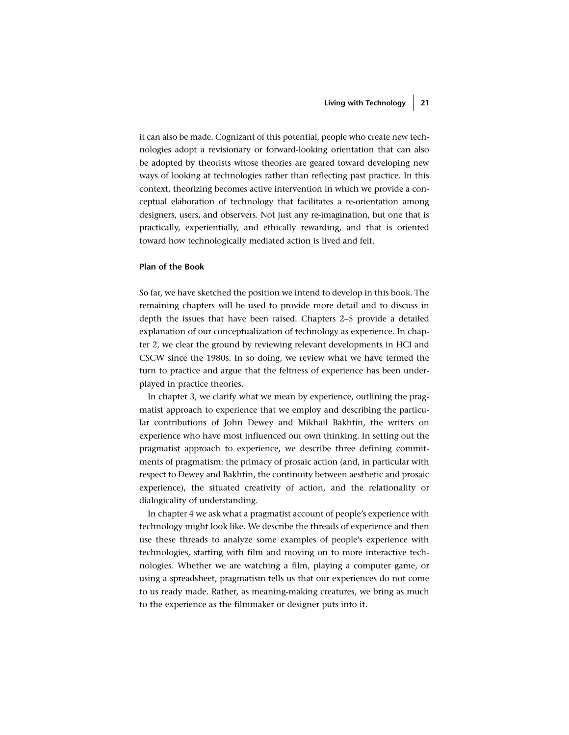it can also be made. Cognizant of this potential, people who create new technologies adopt a revisionary or forward-looking orientation that can also be adopted by theorists whose theories are geared toward developing new ways of looking at technologies rather than reflecting past practice. In this context, theorizing becomes active intervention in which we provide a conceptual elaboration of technology that facilitates a re-orientation among designers, users, and observers. Not just any re-imagination, but one that is practically, experientially, and ethically rewarding, and that is oriented toward how technologically mediated action is lived and felt.

#### **Plan of the Book**

So far, we have sketched the position we intend to develop in this book. The remaining chapters will be used to provide more detail and to discuss in depth the issues that have been raised. Chapters 2–5 provide a detailed explanation of our conceptualization of technology as experience. In chapter 2, we clear the ground by reviewing relevant developments in HCI and CSCW since the 1980s. In so doing, we review what we have termed the turn to practice and argue that the feltness of experience has been underplayed in practice theories.

In chapter 3, we clarify what we mean by experience, outlining the pragmatist approach to experience that we employ and describing the particular contributions of John Dewey and Mikhail Bakhtin, the writers on experience who have most influenced our own thinking. In setting out the pragmatist approach to experience, we describe three defining commitments of pragmatism: the primacy of prosaic action (and, in particular with respect to Dewey and Bakhtin, the continuity between aesthetic and prosaic experience), the situated creativity of action, and the relationality or dialogicality of understanding.

In chapter 4 we ask what a pragmatist account of people's experience with technology might look like. We describe the threads of experience and then use these threads to analyze some examples of people's experience with technologies, starting with film and moving on to more interactive technologies. Whether we are watching a film, playing a computer game, or using a spreadsheet, pragmatism tells us that our experiences do not come to us ready made. Rather, as meaning-making creatures, we bring as much to the experience as the filmmaker or designer puts into it.